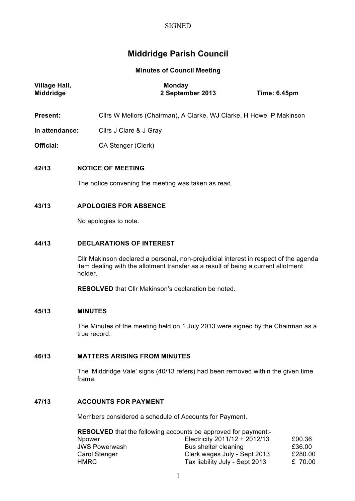# **SIGNED**

# **Middridge Parish Council**

**Minutes of Council Meeting**

| <b>Village Hall,</b><br>Middridge | <b>Monday</b><br>2 September 2013<br><b>Time: 6.45pm</b>                                                                                                                             |
|-----------------------------------|--------------------------------------------------------------------------------------------------------------------------------------------------------------------------------------|
| <b>Present:</b>                   | Cllrs W Mellors (Chairman), A Clarke, WJ Clarke, H Howe, P Makinson                                                                                                                  |
| In attendance:                    | Cllrs J Clare & J Gray                                                                                                                                                               |
| <b>Official:</b>                  | CA Stenger (Clerk)                                                                                                                                                                   |
| 42/13                             | <b>NOTICE OF MEETING</b>                                                                                                                                                             |
|                                   | The notice convening the meeting was taken as read.                                                                                                                                  |
| 43/13                             | <b>APOLOGIES FOR ABSENCE</b>                                                                                                                                                         |
|                                   | No apologies to note.                                                                                                                                                                |
| 44/13                             | <b>DECLARATIONS OF INTEREST</b>                                                                                                                                                      |
|                                   | CIIr Makinson declared a personal, non-prejudicial interest in respect of the agenda<br>item dealing with the allotment transfer as a result of being a current allotment<br>holder. |
|                                   | <b>RESOLVED</b> that Cllr Makinson's declaration be noted.                                                                                                                           |
| 45/13                             | <b>MINUTES</b>                                                                                                                                                                       |
|                                   | The Minutes of the meeting held on 1 July 2013 were signed by the Chairman as a<br>true record.                                                                                      |
| 46/13                             | <b>MATTERS ARISING FROM MINUTES</b>                                                                                                                                                  |
|                                   | The 'Middridge Vale' signs (40/13 refers) had been removed within the given time<br>frame.                                                                                           |
| 47/13                             | <b>ACCOUNTS FOR PAYMENT</b>                                                                                                                                                          |

Members considered a schedule of Accounts for Payment.

| <b>RESOLVED</b> that the following accounts be approved for payment:- |                                 |         |  |
|-----------------------------------------------------------------------|---------------------------------|---------|--|
| Npower                                                                | Electricity $2011/12 + 2012/13$ | £00.36  |  |
| <b>JWS Powerwash</b>                                                  | Bus shelter cleaning            | £36.00  |  |
| <b>Carol Stenger</b>                                                  | Clerk wages July - Sept 2013    | £280.00 |  |
| HMRC                                                                  | Tax liability July - Sept 2013  | £ 70.00 |  |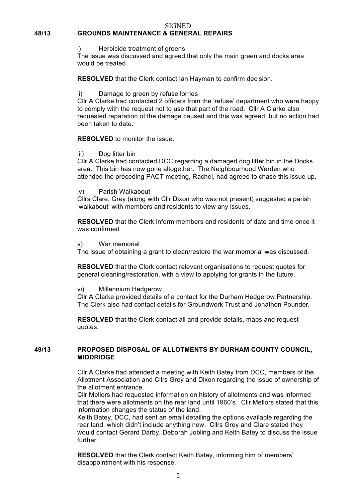#### SIGNED

# **48/13 GROUNDS MAINTENANCE & GENERAL REPAIRS**

i) Herbicide treatment of greens

The issue was discussed and agreed that only the main green and docks area would be treated.

**RESOLVED** that the Clerk contact Ian Hayman to confirm decision.

ii) Damage to green by refuse lorries

Cllr A Clarke had contacted 2 officers from the 'refuse' department who were happy to comply with the request not to use that part of the road. Cllr A Clarke also requested reparation of the damage caused and this was agreed, but no action had been taken to date.

**RESOLVED** to monitor the issue.

iii) Dog litter bin

Cllr A Clarke had contacted DCC regarding a damaged dog litter bin in the Docks area. This bin has now gone altogether. The Neighbourhood Warden who attended the preceding PACT meeting, Rachel, had agreed to chase this issue up.

iv) Parish Walkabout

Cllrs Clare, Grey (along with Cllr Dixon who was not present) suggested a parish 'walkabout' with members and residents to view any issues.

**RESOLVED** that the Clerk inform members and residents of date and time once it was confirmed

v) War memorial

The issue of obtaining a grant to clean/restore the war memorial was discussed.

**RESOLVED** that the Clerk contact relevant organisations to request quotes for general cleaning/restoration, with a view to applying for grants in the future.

vi) Millennium Hedgerow

Cllr A Clarke provided details of a contact for the Durham Hedgerow Partnership. The Clerk also had contact details for Groundwork Trust and Jonathon Pounder.

**RESOLVED** that the Clerk contact all and provide details, maps and request quotes.

### **49/13 PROPOSED DISPOSAL OF ALLOTMENTS BY DURHAM COUNTY COUNCIL, MIDDRIDGE**

Cllr A Clarke had attended a meeting with Keith Batey from DCC, members of the Allotment Association and Cllrs Grey and Dixon regarding the issue of ownership of the allotment entrance.

Cllr Mellors had requested information on history of allotments and was informed that there were allotments on the rear land until 1960's. Cllr Mellors stated that this information changes the status of the land.

Keith Batey, DCC, had sent an email detailing the options available regarding the rear land, which didn't include anything new. Cllrs Grey and Clare stated they would contact Gerard Darby, Deborah Jobling and Keith Batey to discuss the issue further.

**RESOLVED** that the Clerk contact Keith Batey, informing him of members' disappointment with his response.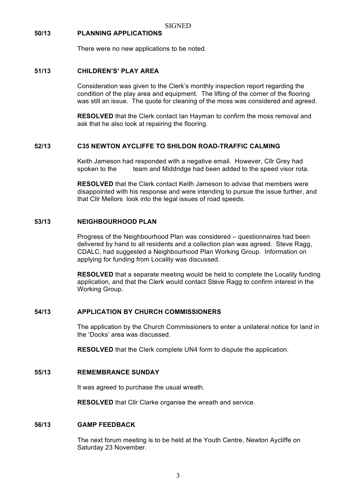#### **50/13 PLANNING APPLICATIONS**

There were no new applications to be noted.

#### **51/13 CHILDREN'S' PLAY AREA**

Consideration was given to the Clerk's monthly inspection report regarding the condition of the play area and equipment. The lifting of the corner of the flooring was still an issue. The quote for cleaning of the moss was considered and agreed.

**RESOLVED** that the Clerk contact Ian Hayman to confirm the moss removal and ask that he also look at repairing the flooring.

### **52/13 C35 NEWTON AYCLIFFE TO SHILDON ROAD-TRAFFIC CALMING**

Keith Jameson had responded with a negative email. However, Cllr Grey had spoken to the team and Middridge had been added to the speed visor rota.

**RESOLVED** that the Clerk contact Keith Jameson to advise that members were disappointed with his response and were intending to pursue the issue further, and that Cllr Mellors look into the legal issues of road speeds.

#### **53/13 NEIGHBOURHOOD PLAN**

Progress of the Neighbourhood Plan was considered – questionnaires had been delivered by hand to all residents and a collection plan was agreed. Steve Ragg, CDALC, had suggested a Neighbourhood Plan Working Group. Information on applying for funding from Locality was discussed.

**RESOLVED** that a separate meeting would be held to complete the Locality funding application, and that the Clerk would contact Steve Ragg to confirm interest in the Working Group.

#### **54/13 APPLICATION BY CHURCH COMMISSIONERS**

The application by the Church Commissioners to enter a unilateral notice for land in the 'Docks' area was discussed.

**RESOLVED** that the Clerk complete UN4 form to dispute the application.

#### **55/13 REMEMBRANCE SUNDAY**

It was agreed to purchase the usual wreath.

**RESOLVED** that Cllr Clarke organise the wreath and service.

#### **56/13 GAMP FEEDBACK**

The next forum meeting is to be held at the Youth Centre, Newton Aycliffe on Saturday 23 November.